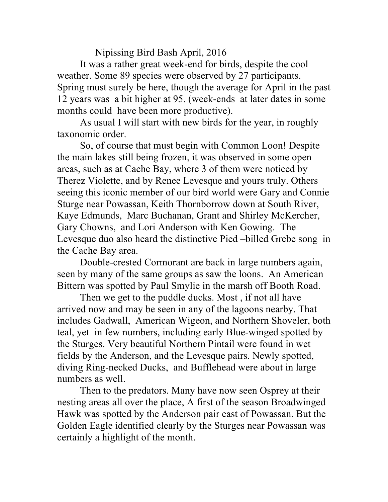Nipissing Bird Bash April, 2016

It was a rather great week-end for birds, despite the cool weather. Some 89 species were observed by 27 participants. Spring must surely be here, though the average for April in the past 12 years was a bit higher at 95. (week-ends at later dates in some months could have been more productive).

As usual I will start with new birds for the year, in roughly taxonomic order.

So, of course that must begin with Common Loon! Despite the main lakes still being frozen, it was observed in some open areas, such as at Cache Bay, where 3 of them were noticed by Therez Violette, and by Renee Levesque and yours truly. Others seeing this iconic member of our bird world were Gary and Connie Sturge near Powassan, Keith Thornborrow down at South River, Kaye Edmunds, Marc Buchanan, Grant and Shirley McKercher, Gary Chowns, and Lori Anderson with Ken Gowing. The Levesque duo also heard the distinctive Pied –billed Grebe song in the Cache Bay area.

Double-crested Cormorant are back in large numbers again, seen by many of the same groups as saw the loons. An American Bittern was spotted by Paul Smylie in the marsh off Booth Road.

Then we get to the puddle ducks. Most , if not all have arrived now and may be seen in any of the lagoons nearby. That includes Gadwall, American Wigeon, and Northern Shoveler, both teal, yet in few numbers, including early Blue-winged spotted by the Sturges. Very beautiful Northern Pintail were found in wet fields by the Anderson, and the Levesque pairs. Newly spotted, diving Ring-necked Ducks, and Bufflehead were about in large numbers as well.

Then to the predators. Many have now seen Osprey at their nesting areas all over the place, A first of the season Broadwinged Hawk was spotted by the Anderson pair east of Powassan. But the Golden Eagle identified clearly by the Sturges near Powassan was certainly a highlight of the month.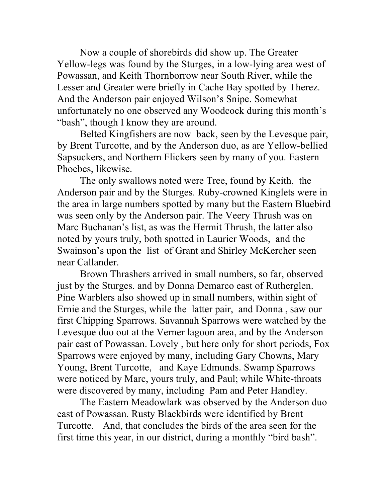Now a couple of shorebirds did show up. The Greater Yellow-legs was found by the Sturges, in a low-lying area west of Powassan, and Keith Thornborrow near South River, while the Lesser and Greater were briefly in Cache Bay spotted by Therez. And the Anderson pair enjoyed Wilson's Snipe. Somewhat unfortunately no one observed any Woodcock during this month's "bash", though I know they are around.

Belted Kingfishers are now back, seen by the Levesque pair, by Brent Turcotte, and by the Anderson duo, as are Yellow-bellied Sapsuckers, and Northern Flickers seen by many of you. Eastern Phoebes, likewise.

The only swallows noted were Tree, found by Keith, the Anderson pair and by the Sturges. Ruby-crowned Kinglets were in the area in large numbers spotted by many but the Eastern Bluebird was seen only by the Anderson pair. The Veery Thrush was on Marc Buchanan's list, as was the Hermit Thrush, the latter also noted by yours truly, both spotted in Laurier Woods, and the Swainson's upon the list of Grant and Shirley McKercher seen near Callander.

Brown Thrashers arrived in small numbers, so far, observed just by the Sturges. and by Donna Demarco east of Rutherglen. Pine Warblers also showed up in small numbers, within sight of Ernie and the Sturges, while the latter pair, and Donna , saw our first Chipping Sparrows. Savannah Sparrows were watched by the Levesque duo out at the Verner lagoon area, and by the Anderson pair east of Powassan. Lovely , but here only for short periods, Fox Sparrows were enjoyed by many, including Gary Chowns, Mary Young, Brent Turcotte, and Kaye Edmunds. Swamp Sparrows were noticed by Marc, yours truly, and Paul; while White-throats were discovered by many, including Pam and Peter Handley.

The Eastern Meadowlark was observed by the Anderson duo east of Powassan. Rusty Blackbirds were identified by Brent Turcotte. And, that concludes the birds of the area seen for the first time this year, in our district, during a monthly "bird bash".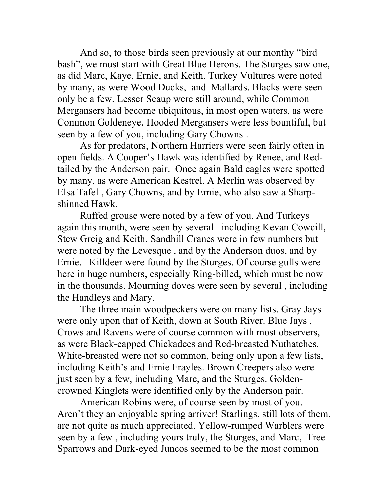And so, to those birds seen previously at our monthy "bird bash", we must start with Great Blue Herons. The Sturges saw one, as did Marc, Kaye, Ernie, and Keith. Turkey Vultures were noted by many, as were Wood Ducks, and Mallards. Blacks were seen only be a few. Lesser Scaup were still around, while Common Mergansers had become ubiquitous, in most open waters, as were Common Goldeneye. Hooded Mergansers were less bountiful, but seen by a few of you, including Gary Chowns .

As for predators, Northern Harriers were seen fairly often in open fields. A Cooper's Hawk was identified by Renee, and Redtailed by the Anderson pair. Once again Bald eagles were spotted by many, as were American Kestrel. A Merlin was observed by Elsa Tafel , Gary Chowns, and by Ernie, who also saw a Sharpshinned Hawk.

Ruffed grouse were noted by a few of you. And Turkeys again this month, were seen by several including Kevan Cowcill, Stew Greig and Keith. Sandhill Cranes were in few numbers but were noted by the Levesque , and by the Anderson duos, and by Ernie. Killdeer were found by the Sturges. Of course gulls were here in huge numbers, especially Ring-billed, which must be now in the thousands. Mourning doves were seen by several , including the Handleys and Mary.

The three main woodpeckers were on many lists. Gray Jays were only upon that of Keith, down at South River. Blue Jays , Crows and Ravens were of course common with most observers, as were Black-capped Chickadees and Red-breasted Nuthatches. White-breasted were not so common, being only upon a few lists, including Keith's and Ernie Frayles. Brown Creepers also were just seen by a few, including Marc, and the Sturges. Goldencrowned Kinglets were identified only by the Anderson pair.

American Robins were, of course seen by most of you. Aren't they an enjoyable spring arriver! Starlings, still lots of them, are not quite as much appreciated. Yellow-rumped Warblers were seen by a few , including yours truly, the Sturges, and Marc, Tree Sparrows and Dark-eyed Juncos seemed to be the most common